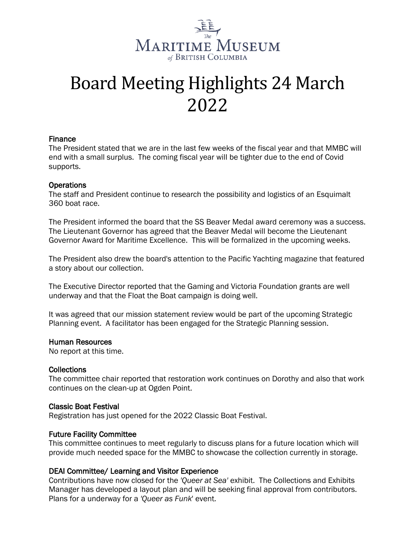

# Board Meeting Highlights 24 March 2022

## Finance

The President stated that we are in the last few weeks of the fiscal year and that MMBC will end with a small surplus. The coming fiscal year will be tighter due to the end of Covid supports.

#### **Operations**

The staff and President continue to research the possibility and logistics of an Esquimalt 360 boat race.

The President informed the board that the SS Beaver Medal award ceremony was a success. The Lieutenant Governor has agreed that the Beaver Medal will become the Lieutenant Governor Award for Maritime Excellence. This will be formalized in the upcoming weeks.

The President also drew the board's attention to the Pacific Yachting magazine that featured a story about our collection.

The Executive Director reported that the Gaming and Victoria Foundation grants are well underway and that the Float the Boat campaign is doing well.

It was agreed that our mission statement review would be part of the upcoming Strategic Planning event. A facilitator has been engaged for the Strategic Planning session.

#### Human Resources

No report at this time.

#### **Collections**

The committee chair reported that restoration work continues on Dorothy and also that work continues on the clean-up at Ogden Point.

#### Classic Boat Festival

Registration has just opened for the 2022 Classic Boat Festival.

#### Future Facility Committee

This committee continues to meet regularly to discuss plans for a future location which will provide much needed space for the MMBC to showcase the collection currently in storage.

#### DEAI Committee/ Learning and Visitor Experience

Contributions have now closed for the *'Queer at Sea'* exhibit. The Collections and Exhibits Manager has developed a layout plan and will be seeking final approval from contributors. Plans for a underway for a *'Queer as Funk*' event.